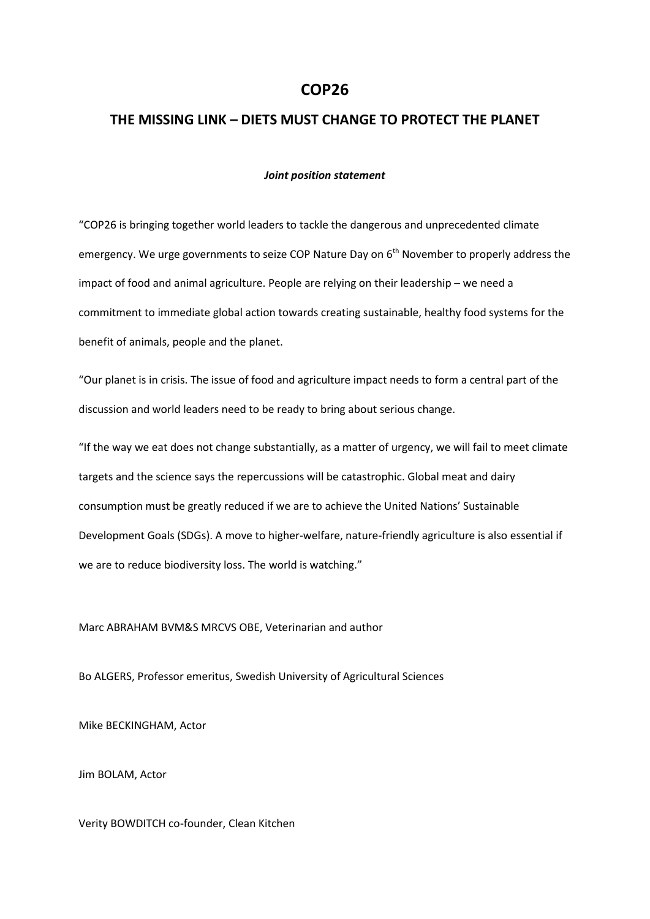## **COP26**

## **THE MISSING LINK – DIETS MUST CHANGE TO PROTECT THE PLANET**

## *Joint position statement*

"COP26 is bringing together world leaders to tackle the dangerous and unprecedented climate emergency. We urge governments to seize COP Nature Day on 6<sup>th</sup> November to properly address the impact of food and animal agriculture. People are relying on their leadership – we need a commitment to immediate global action towards creating sustainable, healthy food systems for the benefit of animals, people and the planet.

"Our planet is in crisis. The issue of food and agriculture impact needs to form a central part of the discussion and world leaders need to be ready to bring about serious change.

"If the way we eat does not change substantially, as a matter of urgency, we will fail to meet climate targets and the science says the repercussions will be catastrophic. Global meat and dairy consumption must be greatly reduced if we are to achieve the United Nations' Sustainable Development Goals (SDGs). A move to higher-welfare, nature-friendly agriculture is also essential if we are to reduce biodiversity loss. The world is watching."

Marc ABRAHAM BVM&S MRCVS OBE, Veterinarian and author

Bo ALGERS, Professor emeritus, Swedish University of Agricultural Sciences

Mike BECKINGHAM, Actor

Jim BOLAM, Actor

Verity BOWDITCH co-founder, Clean Kitchen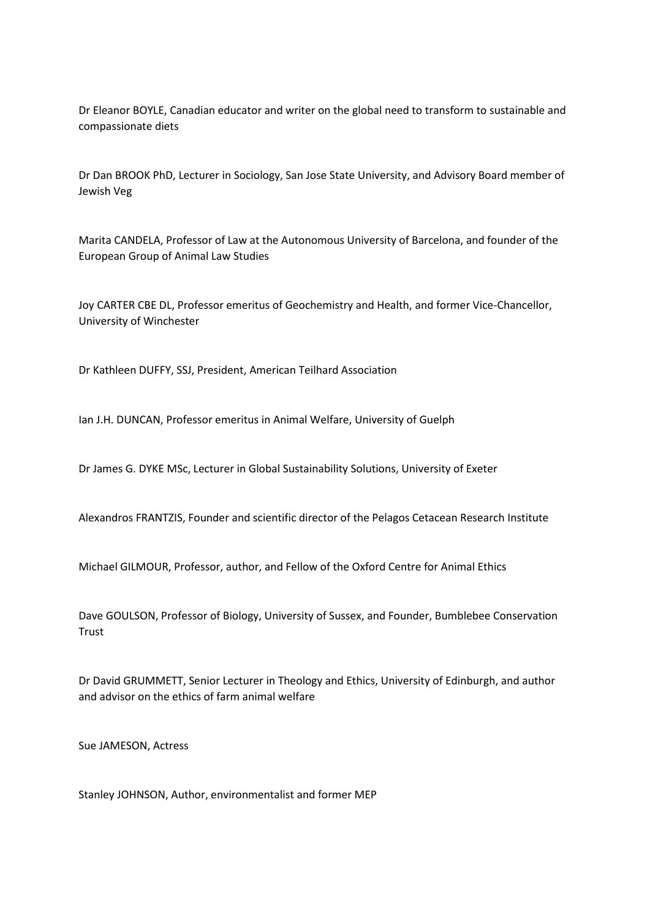Dr Eleanor BOYLE, Canadian educator and writer on the global need to transform to sustainable and compassionate diets

Dr Dan BROOK PhD, Lecturer in Sociology, San Jose State University, and Advisory Board member of Jewish Veg

Marita CANDELA, Professor of Law at the Autonomous University of Barcelona, and founder of the European Group of Animal Law Studies

Joy CARTER CBE DL, Professor emeritus of Geochemistry and Health, and former Vice-Chancellor, University of Winchester

Dr Kathleen DUFFY, SSJ, President, American Teilhard Association

Ian J.H. DUNCAN, Professor emeritus in Animal Welfare, University of Guelph

Dr James G. DYKE MSc, Lecturer in Global Sustainability Solutions, University of Exeter

Alexandros FRANTZIS, Founder and scientific director of the Pelagos Cetacean Research Institute

Michael GILMOUR, Professor, author, and Fellow of the Oxford Centre for Animal Ethics

Dave GOULSON, Professor of Biology, University of Sussex, and Founder, Bumblebee Conservation **Trust** 

Dr David GRUMMETT, Senior Lecturer in Theology and Ethics, University of Edinburgh, and author and advisor on the ethics of farm animal welfare

Sue JAMESON, Actress

Stanley JOHNSON, Author, environmentalist and former MEP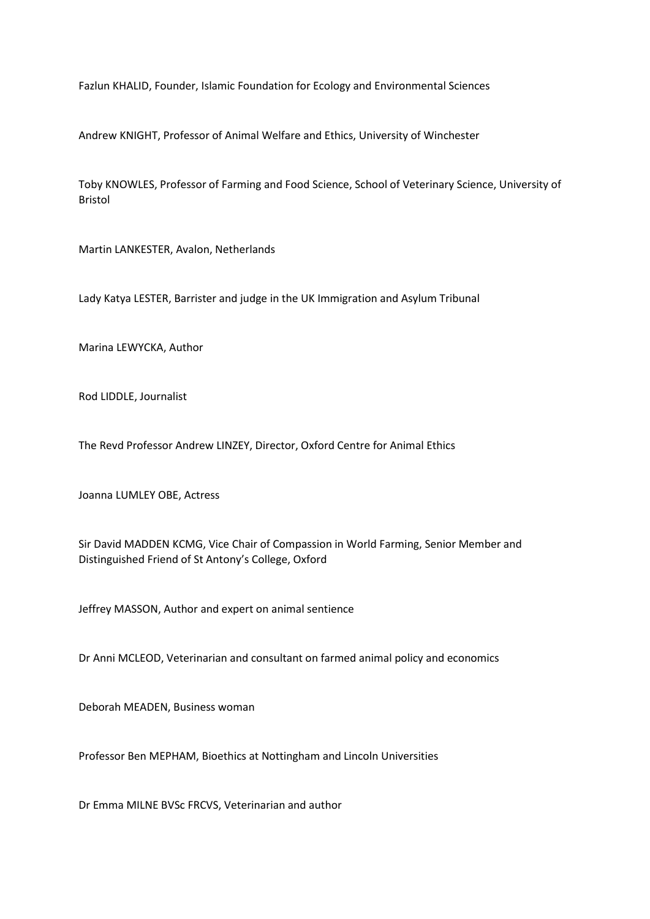Fazlun KHALID, Founder, Islamic Foundation for Ecology and Environmental Sciences

Andrew KNIGHT, Professor of Animal Welfare and Ethics, University of Winchester

Toby KNOWLES, Professor of Farming and Food Science, School of Veterinary Science, University of Bristol

Martin LANKESTER, Avalon, Netherlands

Lady Katya LESTER, Barrister and judge in the UK Immigration and Asylum Tribunal

Marina LEWYCKA, Author

Rod LIDDLE, Journalist

The Revd Professor Andrew LINZEY, Director, Oxford Centre for Animal Ethics

Joanna LUMLEY OBE, Actress

Sir David MADDEN KCMG, Vice Chair of Compassion in World Farming, Senior Member and Distinguished Friend of St Antony's College, Oxford

Jeffrey MASSON, Author and expert on animal sentience

Dr Anni MCLEOD, Veterinarian and consultant on farmed animal policy and economics

Deborah MEADEN, Business woman

Professor Ben MEPHAM, Bioethics at Nottingham and Lincoln Universities

Dr Emma MILNE BVSc FRCVS, Veterinarian and author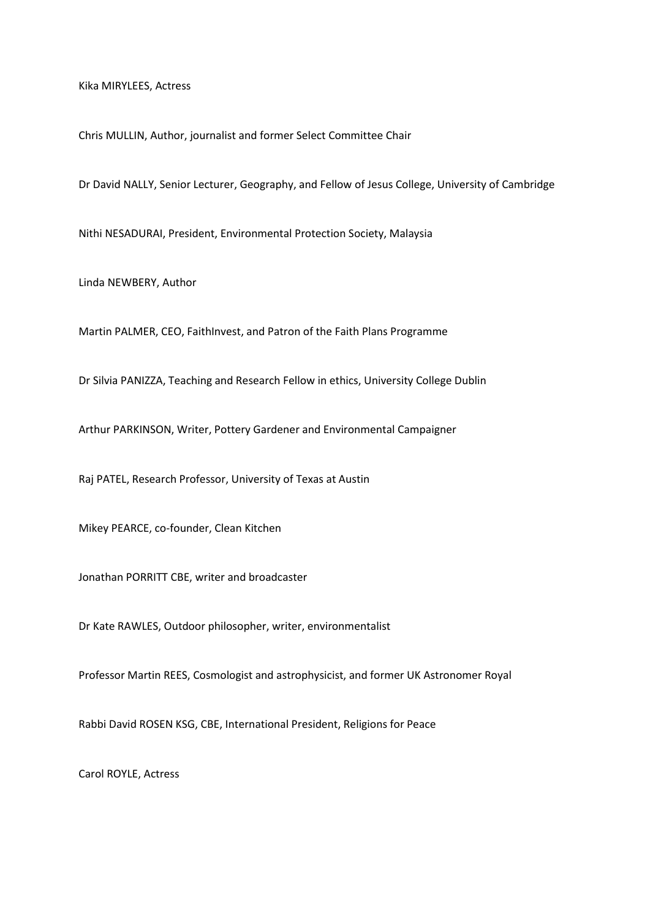Kika MIRYLEES, Actress

Chris MULLIN, Author, journalist and former Select Committee Chair

Dr David NALLY, Senior Lecturer, Geography, and Fellow of Jesus College, University of Cambridge

Nithi NESADURAI, President, Environmental Protection Society, Malaysia

Linda NEWBERY, Author

Martin PALMER, CEO, FaithInvest, and Patron of the Faith Plans Programme

Dr Silvia PANIZZA, Teaching and Research Fellow in ethics, University College Dublin

Arthur PARKINSON, Writer, Pottery Gardener and Environmental Campaigner

Raj PATEL, Research Professor, University of Texas at Austin

Mikey PEARCE, co-founder, Clean Kitchen

Jonathan PORRITT CBE, writer and broadcaster

Dr Kate RAWLES, Outdoor philosopher, writer, environmentalist

Professor Martin REES, Cosmologist and astrophysicist, and former UK Astronomer Royal

Rabbi David ROSEN KSG, CBE, International President, Religions for Peace

Carol ROYLE, Actress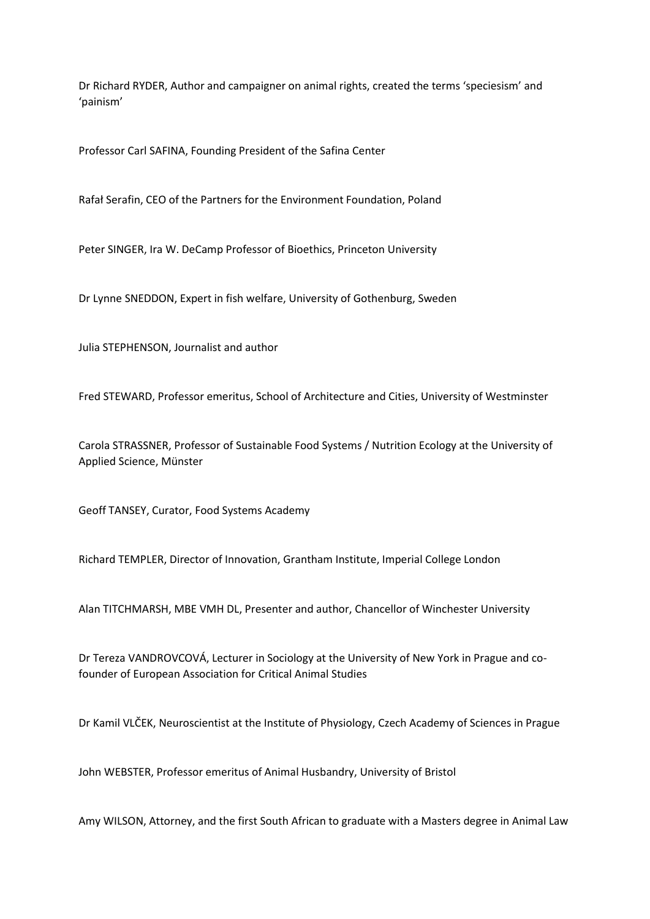Dr Richard RYDER, Author and campaigner on animal rights, created the terms 'speciesism' and 'painism'

Professor Carl SAFINA, Founding President of the Safina Center

Rafał Serafin, CEO of the Partners for the Environment Foundation, Poland

Peter SINGER, Ira W. DeCamp Professor of Bioethics, Princeton University

Dr Lynne SNEDDON, Expert in fish welfare, University of Gothenburg, Sweden

Julia STEPHENSON, Journalist and author

Fred STEWARD, Professor emeritus, School of Architecture and Cities, University of Westminster

Carola STRASSNER, Professor of Sustainable Food Systems / Nutrition Ecology at the University of Applied Science, Münster

Geoff TANSEY, Curator, Food Systems Academy

Richard TEMPLER, Director of Innovation, Grantham Institute, Imperial College London

Alan TITCHMARSH, MBE VMH DL, Presenter and author, Chancellor of Winchester University

Dr Tereza VANDROVCOVÁ, Lecturer in Sociology at the University of New York in Prague and cofounder of European Association for Critical Animal Studies

Dr Kamil VLČEK, Neuroscientist at the Institute of Physiology, Czech Academy of Sciences in Prague

John WEBSTER, Professor emeritus of Animal Husbandry, University of Bristol

Amy WILSON, Attorney, and the first South African to graduate with a Masters degree in Animal Law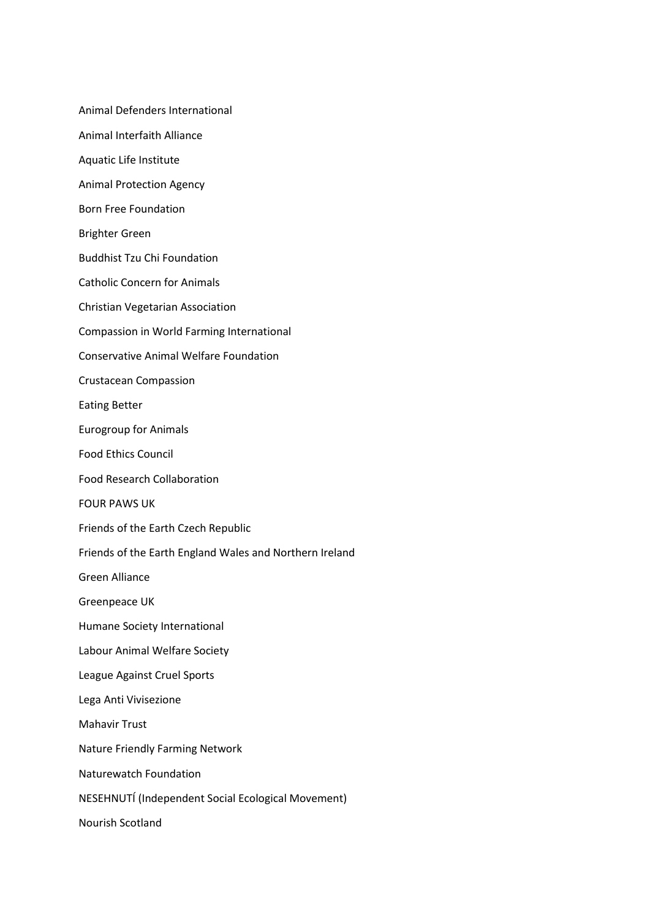Animal Defenders International Animal Interfaith Alliance Aquatic Life Institute Animal Protection Agency Born Free Foundation Brighter Green Buddhist Tzu Chi Foundation Catholic Concern for Animals Christian Vegetarian Association Compassion in World Farming International Conservative Animal Welfare Foundation Crustacean Compassion Eating Better Eurogroup for Animals Food Ethics Council Food Research Collaboration FOUR PAWS UK Friends of the Earth Czech Republic Friends of the Earth England Wales and Northern Ireland Green Alliance Greenpeace UK Humane Society International Labour Animal Welfare Society League Against Cruel Sports Lega Anti Vivisezione Mahavir Trust Nature Friendly Farming Network Naturewatch Foundation NESEHNUTÍ (Independent Social Ecological Movement) Nourish Scotland